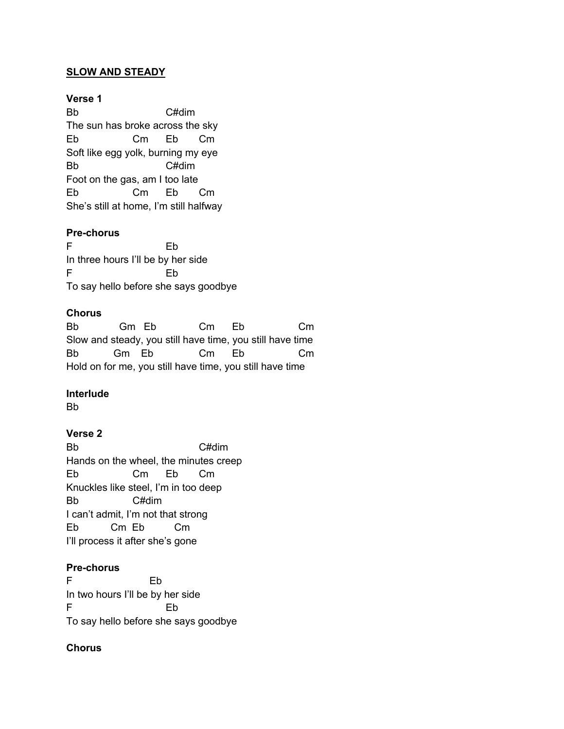### **SLOW AND STEADY**

#### **Verse 1**

Bb C#dim The sun has broke across the sky Eb Cm Eb Cm Soft like egg yolk, burning my eye Bb C#dim Foot on the gas, am I too late Eb Cm Eb Cm She's still at home, I'm still halfway

#### **Pre-chorus**

F Eb In three hours I'll be by her side F Eb To say hello before she says goodbye

#### **Chorus**

Bb Gm Eb Cm Eb Cm Slow and steady, you still have time, you still have time Bb Gm Eb Cm Eb Cm Hold on for me, you still have time, you still have time

### **Interlude**

Bb

### **Verse 2**

Bb C#dim Hands on the wheel, the minutes creep Eb Cm Eb Cm Knuckles like steel, I'm in too deep Bb C#dim I can't admit, I'm not that strong Eb Cm Eb Cm I'll process it after she's gone

## **Pre-chorus**

F Eb In two hours I'll be by her side F Eb To say hello before she says goodbye

## **Chorus**